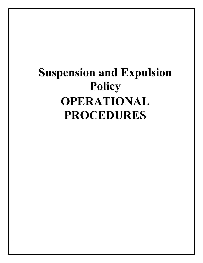## **Suspension and Expulsion Policy OPERATIONAL PROCEDURES**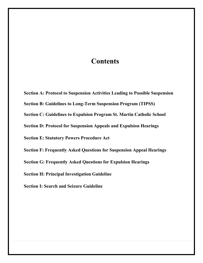## **Contents**

**Section A: Protocol to Suspension Activities Leading to Possible Suspension Section B: Guidelines to Long-Term Suspension Program (TIPSS) Section C: Guidelines to Expulsion Program St. Martin Catholic School Section D: Protocol for Suspension Appeals and Expulsion Hearings Section E: Statutory Powers Procedure Act Section F: Frequently Asked Questions for Suspension Appeal Hearings Section G: Frequently Asked Questions for Expulsion Hearings Section H: Principal Investigation Guideline**

**Section I: Search and Seizure Guideline**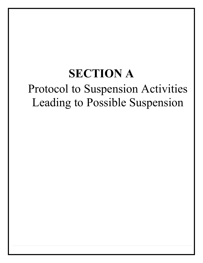## **SECTION A** Protocol to Suspension Activities Leading to Possible Suspension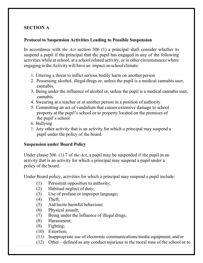## **SECTION A**

### **Protocol to Suspension Activities Leading to Possible Suspension**

In accordance with *the Act* section 306 (1) a principal shall consider whether to suspend a pupil if the principal that the pupil has engaged in any of the following activities while at school, at a school related activity, or in other circumstanceswhere engaging in the Activity will have an impact on school climate:

- 1. Uttering a threat to inflict serious bodily harm on anotherperson
- 2. Possessing alcohol, illegal drugs or, unless the pupil is a medical cannabis user, cannabis.
- 3. Being under the influence of alcohol or, unless the pupil is a medical cannabis user, cannabis.
- 4. Swearing at a teacher or at another person in a position of authority
- 5. Committing an act of vandalism that causes extensive damage to school property at the pupil's school or to property located on the premises of the pupil's school
- 6. Bullying
- 7. Any other activity that is an activity for which a principal may suspend a pupil under the policy of the board.

#### **Suspension under Board Policy**

Under clause 306. (1) 7 of *the Act*, a pupil may be suspended if the pupil in an activity that is an activity for which a principal may suspend a pupil under a policy of the board.

Under Board policy, activities for which a principal may suspend a pupil include:

- (1) Persistent opposition to authority;
- (2) Habitual neglect of duty;
- (3) Use of profane or improper language;
- (4) Theft;
- (5) Aid/incite harmful behaviour;
- (6) Physical assault;
- (7) Being under the influence of illegal drugs;
- (8) Harassment;
- (9) Fighting;
- (10) Extortion;
- (11) Inappropriate use of electronic communications/media equipment; and/or
- (12) Other defined as any conduct injurious to the moral tone of the school or to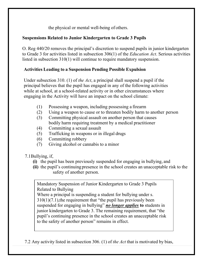the physical or mental well-being of others.

## **Suspensions Related to Junior Kindergarten to Grade 3 Pupils**

O. Reg 440/20 removes the principal's discretion to suspend pupils in junior kindergarten to Grade 3 for activities listed in subsection 306(1) of the *Education Act*. Serious activities listed in subsection 310(1) will continue to require mandatory suspension.

## **Activities Leading to a Suspension Pending Possible Expulsion**

Under subsection 310. (1) of *the Act*, a principal shall suspend a pupil if the principal believes that the pupil has engaged in any of the following activities while at school, at a school-related activity or in other circumstances where engaging in the Activity will have an impact on the school climate:

- (1) Possessing a weapon, including possessing a firearm
- (2) Using a weapon to cause or to threaten bodily harm to another person
- (3) Committing physical assault on another person that causes bodily harm requiring treatment by a medical practitioner
- (4) Committing a sexual assault
- (5) Trafficking in weapons or in illegal drugs
- (6) Committing robbery
- (7) Giving alcohol or cannabis to a minor

7.1Bullying, if,

- **(i)** the pupil has been previously suspended for engaging in bullying, and
- **(ii)** the pupil's continuing presence in the school creates an unacceptable risk to the safety of another person.

Mandatory Suspension of Junior Kindergarten to Grade 3 Pupils Related to Bullying

Where a principal is suspending a student for bullying under s.  $310(1)(7.1)$ , the requirement that "the pupil has previously been suspended for engaging in bullying" *no longer applies* **to** students in junior kindergarten to Grade 3. The remaining requirement, that "the pupil's continuing presence in the school creates an unacceptable risk to the safety of another person" remains in effect.

7.2 Any activity listed in subsection 306. (1) of *the Act* that is motivated by bias,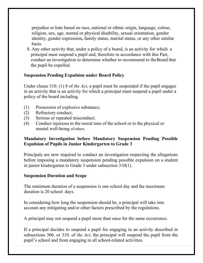prejudice or hate based on race, national or ethnic origin, language, colour, religion, sex, age, mental or physical disability, sexual orientation, gender identity, gender expression**,** family status, marital status, or any other similar basis.

8. Any other activity that, under a policy of a board, is an activity for which a principal must suspend a pupil and, therefore in accordance with this Part, conduct an investigation to determine whether to recommend to theBoard that the pupil be expelled.

#### **Suspension Pending Expulsion under Board Policy**

Under clause 310. (1) 8 of *the Act*, a pupil must be suspended if the pupil engages in an activity that is an activity for which a principal must suspend a pupil under a policy of the board including.

- (1) Possession of explosive substance;
- (2) Refractory conduct;
- (3) Serious or repeated misconduct;
- (4) Conduct injurious to the moral tone of the school or to the physical or mental well-being of others.

#### **Mandatory Investigation before Mandatory Suspension Pending Possible Expulsion of Pupils in Junior Kindergarten to Grade 3**

Principals are now required to conduct an investigation respecting the allegations before imposing a mandatory suspension pending possible expulsion on a student in junior kindergarten to Grade 3 under subsection 310(1).

#### **Suspension Duration and Scope**

The minimum duration of a suspension is one school day and the maximum duration is 20 school days.

In considering how long the suspension should be, a principal will take into account any mitigating and/or other factors prescribed by the regulations.

A principal may not suspend a pupil more than once for the same occurrence.

If a principal decides to suspend a pupil for engaging in an activity described in subsections 306. or 310. of *the Act*, the principal will suspend the pupil from the pupil's school and from engaging in all school-related activities.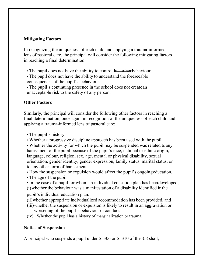## **Mitigating Factors**

In recognizing the uniqueness of each child and applying a trauma-informed lens of pastoral care, the principal will consider the following mitigating factors in reaching a final determination:

• The pupil does not have the ability to control his or herbehaviour.

• The pupil does not have the ability to understand the foreseeable consequences of the pupil's behaviour.

• The pupil's continuing presence in the school does not createan unacceptable risk to the safety of any person.

### **Other Factors**

Similarly, the principal will consider the following other factors in reaching a final determination, once again in recognition of the uniqueness of each child and applying a trauma-informed lens of pastoral care:

- The pupil's history.
- Whether a progressive discipline approach has been used with the pupil.

• Whether the activity for which the pupil may be suspended was related to any harassment of the pupil because of the pupil's race, national or ethnic origin, language, colour, religion, sex, age, mental or physical disability, sexual orientation, gender identity, gender expression, family status, marital status, or to any other form of harassment.

• How the suspension or expulsion would affect the pupil's ongoingeducation.

• The age of the pupil.

• In the case of a pupil for whom an individual education plan has beendeveloped, (i)whether the behaviour was a manifestation of a disability identified inthe

pupil's individual education plan.

(ii)whether appropriate individualized accommodation has been provided, and

- (iii)whether the suspension or expulsion is likely to result in an aggravation or worsening of the pupil's behaviour or conduct.
- (iv) Whether the pupil has a history of marginalization or trauma.

## **Notice of Suspension**

A principal who suspends a pupil under S. 306 or S. 310 of the *Act* shall,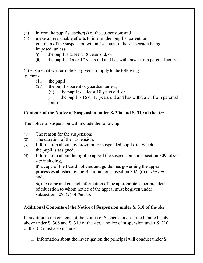- (a) inform the pupil's teacher(s) of the suspension; and
- (b) make all reasonable efforts to inform the pupil's parent or guardian of the suspension within 24 hours of the suspension being imposed, unless,
	- (i) the pupil is at least 18 years old, or
	- (ii) the pupil is 16 or 17 years old and has withdrawn from parental control.

(c) ensure that written notice is given promptly to the following persons:

- (1.) the pupil
- (2.) the pupil's parent or guardian unless,
	- (i.) the pupil is at least 18 years old, or
	- (ii.) the pupil is 16 or 17 years old and has withdrawn from parental control.

## **Contents of the Notice of Suspension under S. 306 and S. 310 of the** *Act*

The notice of suspension will include the following:

- (1) The reason for the suspension;
- (2) The duration of the suspension;
- (3) Information about any program for suspended pupils to which the pupil is assigned;
- (4) Information about the right to appeal the suspension under section 309. of*the Act* including,

**(i)** a copy of the Board policies and guidelines governing the appeal process established by the Board under subsection 302. (6) of *the Act*, and;

*(ii)*the name and contact information of the appropriate superintendent of education to whom notice of the appeal must begiven under subsection 309. (2) of *the Act.*

## **Additional Contents of the Notice of Suspension under S. 310 of the** *Act*

In addition to the contents of the Notice of Suspension described immediately above under S. 306 and S. 310 of the *Act*, a notice of suspension under S. 310 of the *Act* must also include:

1. Information about the investigation the principal will conduct under S.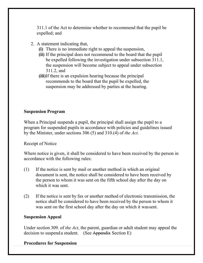311.1 of the Act to determine whether to recommend that the pupil be expelled; and

- 2. A statement indicating that,
	- **(i)** There is no immediate right to appeal the suspension,
	- **(ii)** If the principal does not recommend to the board that the pupil be expelled following the investigation under subsection 311.1, the suspension will become subject to appeal under subsection 311.2, and
	- **(iii)**If there is an expulsion hearing because the principal recommends to the board that the pupil be expelled, the suspension may be addressed by parties at the hearing.

#### **Suspension Program**

When a Principal suspends a pupil, the principal shall assign the pupil to a program for suspended pupils in accordance with policies and guidelines issued by the Minister, under sections 306 (5) and 310.(4) of *the Act*.

Receipt of Notice

Where notice is given, it shall be considered to have been received by the person in accordance with the following rules:

- (1) If the notice is sent by mail or another method in which an original document is sent, the notice shall be considered to have been received by the person to whom it was sent on the fifth school day after the day on which it was sent.
- (2) If the notice is sent by fax or another method of electronic transmission, the notice shall be considered to have been received by the person to whom it was sent on the first school day after the day on which it wassent.

#### **Suspension Appeal**

Under section 309. of *the Act*, the parent, guardian or adult student may appeal the decision to suspend a student. (See Appendix Section E)

#### **Procedures for Suspension**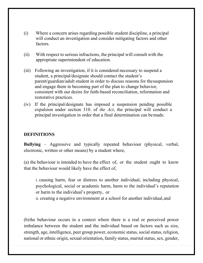- (i) Where a concern arises regarding possible student discipline, a principal will conduct an investigation and consider mitigating factors and other factors.
- (ii) With respect to serious infractions, the principal will consult with the appropriate superintendent of education.
- (iii) Following an investigation, if it is considered necessary to suspend a student, a principal/designate should contact the student's parent/guardian/adult student in order to discuss reasons for thesuspension and engage them in becoming part of the plan to change behavior, consistent with our desire for faith-based reconciliation, reformation and restorative practices.
- (iv) If the principal/designate has imposed a suspension pending possible expulsion under section 310. of *the Act*, the principal will conduct a principal investigation in order that a final determination can bemade.

#### **DEFINITIONS**

**Bullying** – Aggressive and typically repeated behaviour (physical, verbal, electronic, written or other means) by a student where,

(a) the behaviour is intended to have the effect of, or the student ought to know that the behaviour would likely have the effect of,

i. causing harm, fear or distress to another individual, including physical, psychological, social or academic harm, harm to the individual's reputation or harm to the individual's property, or

ii. creating a negative environment at a school for another individual,and

(b)the behaviour occurs in a context where there is a real or perceived power imbalance between the student and the individual based on factors such as size, strength, age, intelligence, peer group power, economic status, social status, religion, national or ethnic origin, sexual orientation, family status, marital status, sex, gender,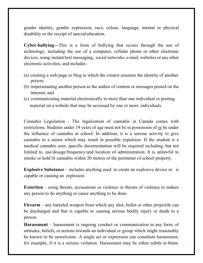gender identity, gender expression, race, colour, language, mental or physical disability or the receipt of specialeducation.

**Cyber-bullying—**This is a form of bullying that occurs through the use of technology, including the use of a computer, cellular phone or other electronic devices, using instant/text messaging, social networks, e-mail, websites or any other electronic activities, and includes:

- (a) creating a web page or blog in which the creator assumes the identity of another person;
- (b) impersonating another person as the author of content or messages posted on the internet; and
- (c) communicating material electronically to more than one individual or posting material on a website that may be accessed by one or more individuals.

Cannabis Legislation - The legalization of cannabis in Canada comes with restrictions. Students under 19 years of age must not be in possession of <u>or</u> be under the influence of cannabis at school. In addition, it is a serious activity to give cannabis to a minor which may result in possible expulsion. If the student is a medical cannabis user, specific documentation will be required including, but not limited to, use/dosage/frequency/and location of administration. It is unlawful to smoke or hold lit cannabis within 20 metres of the perimeter of school property.

**Explosive Substance** – includes anything used to create an explosive device or is capable or causing an explosion.

**Extortion** – using threats, accusations or violence or threats of violence to induce any person to do anything or cause anything to be done.

**Firearm** – any barreled weapon from which any shot, bullet or other projectile can be discharged and that is capable to causing serious bodily injury or death to a person.

**Harassment** – harassment is ongoing conduct or communication in any form, of attitudes, beliefs, or actions towards an individual or group which might reasonably be known to be unwelcome. A single act or expression can constitute harassment, for example, if it is a serious violation. Harassment may be either subtle or blunt.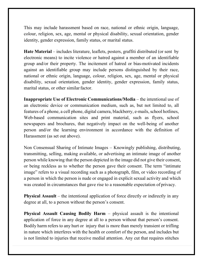This may include harassment based on race, national or ethnic origin, language, colour, religion, sex, age, mental or physical disability, sexual orientation, gender identity, gender expression, family status, or marital status.

**Hate Material** – includes literature, leaflets, posters, graffiti distributed (or sent by electronic means) to incite violence or hatred against a member of an identifiable group and/or their property. The incitement of hatred or bias-motivated incidents against an identifiable group may include persons distinguished by their race, national or ethnic origin, language, colour, religion, sex, age, mental or physical disability, sexual orientation, gender identity, gender expression, family status, marital status, or other similar factor.

**Inappropriate Use of Electronic Communications/Media** – the intentional use of an electronic device or communication medium, such as, but not limited to, all features of a phone, a cell phone, digital camera, blackberry, e-mails, school hotlines, Web-based communication sites and print material, such as flyers, school newspapers and brochures, that negatively impact on the well-being of another person and/or the learning environment in accordance with the definition of Harassment (as set out above).

Non Consensual Sharing of Intimate Images – Knowingly publishing, distributing, transmitting, selling, making available, or advertising an intimate image of another person while knowing that the person depicted in the image did not give their consent, or being reckless as to whether the person gave their consent. The term "intimate image" refers to a visual recording such as a photograph, film, or video recording of a person in which the person is nude or engaged in explicit sexual activity and which was created in circumstances that gave rise to a reasonable expectation of privacy.

**Physical Assault** – the intentional application of force directly or indirectly in any degree at all, to a person without the person's consent.

**Physical Assault Causing Bodily Harm** – physical assault is the intentional application of force in any degree at all to a person without that person's consent. Bodily harm refers to any hurt or injury that is more than merely transient or trifling in nature which interferes with the health or comfort of the person, and includes but is not limited to injuries that receive medial attention. Any cut that requires stitches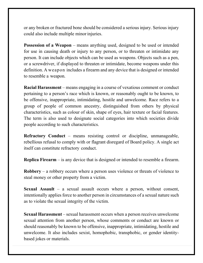or any broken or fractured bone should be considered a serious injury. Serious injury could also include multiple minor injuries.

**Possession of a Weapon** – means anything used, designed to be used or intended for use in causing death or injury to any person, or to threaten or intimidate any person. It can include objects which can be used as weapons. Objects such as a pen, or a screwdriver, if displayed to threaten or intimidate, become weapons under this definition. A weapon includes a firearm and any device that is designed or intended to resemble a weapon.

**Racial Harassment** – means engaging in a course of vexatious comment or conduct pertaining to a person's race which is known, or reasonably ought to be known, to be offensive, inappropriate, intimidating, hostile and unwelcome. Race refers to a group of people of common ancestry, distinguished from others by physical characteristics, such as colour of skin, shape of eyes, hair texture or facial features. The term is also used to designate social categories into which societies divide people according to such characteristics.

**Refractory Conduct** – means resisting control or discipline, unmanageable, rebellious refusal to comply with or flagrant disregard of Board policy. A single act itself can constitute refractory conduct.

**Replica Firearm** – is any device that is designed or intended to resemble a firearm.

**Robbery** – a robbery occurs where a person uses violence or threats of violence to steal money or other property from a victim.

**Sexual Assault** – a sexual assault occurs where a person, without consent, intentionally applies force to another person in circumstances of a sexual nature such as to violate the sexual integrity of the victim.

**Sexual Harassment** – sexual harassment occurs when a person receives unwelcome sexual attention from another person, whose comments or conduct are known or should reasonably be known to be offensive, inappropriate, intimidating, hostile and unwelcome. It also includes sexist, homophobic, transphobic, or gender identitybased jokes or materials.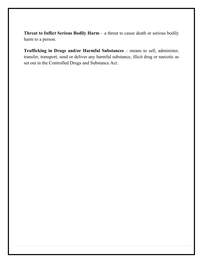**Threat to Inflict Serious Bodily Harm** – a threat to cause death or serious bodily harm to a person.

**Trafficking in Drugs and/or Harmful Substances** – means to sell, administer, transfer, transport, send or deliver any harmful substance, illicit drug or narcotic as set out in the Controlled Drugs and Substance Act.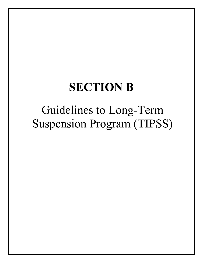## **SECTION B**

## Guidelines to Long-Term Suspension Program (TIPSS)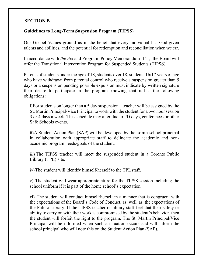## **SECTION B**

#### **Guidelines to Long-Term Suspension Program (TIPSS)**

Our Gospel Values ground us in the belief that every individual has God-given talents and abilities, and the potential for redemption and reconciliation when we err.

In accordance with *the Act* and Program Policy Memorandum 141, the Board will offer the Transitional Intervention Program for Suspended Students (TIPSS).

Parents of students under the age of 18, students over 18, students 16/17 years of age who have withdrawn from parental control who receive a suspension greater than 5 days or a suspension pending possible expulsion must indicate by written signature their desire to participate in the program knowing that it has the following obligations:

i)For students on longer than a 5 day suspension a teacher will be assigned by the St. Martin Principal/Vice Principal to work with the student for a two hour session 3 or 4 days a week. This schedule may alter due to PD days, conferences or other Safe Schools events.

ii)A Student Action Plan (SAP) will be developed by the home school principal in collaboration with appropriate staff to delineate the academic and nonacademic program needs/goals of the student.

iii) The TIPSS teacher will meet the suspended student in a Toronto Public Library (TPL) site.

iv)The student will identify himself/herself to the TPLstaff.

v) The student will wear appropriate attire for the TIPSS session including the school uniform if it is part of the home school's expectation.

vi) The student will conduct himself/herself in a manner that is congruent with the expectations of the Board's Code of Conduct, as well as the expectations of the Public Library. If the TIPSS teacher or library staff feel that their safety or ability to carry on with their work is compromised by the student's behavior, then the student will forfeit the right to the program. The St. Martin Principal/Vice Principal will be informed when such a situation occurs and will inform the school principal who will note this on the Student Action Plan (SAP).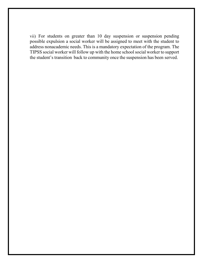vii) For students on greater than 10 day suspension or suspension pending possible expulsion a social worker will be assigned to meet with the student to address nonacademic needs. This is a mandatory expectation of the program. The TIPSS social worker will follow up with the home school social worker to support the student's transition back to community once the suspension has been served.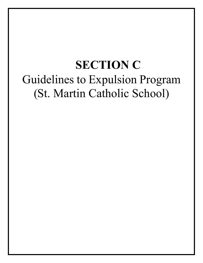## **SECTION C** Guidelines to Expulsion Program (St. Martin Catholic School)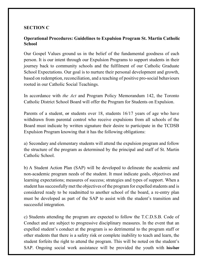## **SECTION C**

## **Operational Procedures: Guidelines to Expulsion Program St. Martin Catholic School**

Our Gospel Values ground us in the belief of the fundamental goodness of each person. It is our intent through our Expulsion Programs to support students in their journey back to community schools and the fulfilment of our Catholic Graduate School Expectations. Our goal is to nurture their personal development and growth, based on redemption, reconciliation, and a teaching of positive pro-social behaviours rooted in our Catholic Social Teachings.

In accordance with *the Act* and Program Policy Memorandum 142, the Toronto Catholic District School Board will offer the Program for Students on Expulsion.

Parents of a student, or students over 18, students 16/17 years of age who have withdrawn from parental control who receive expulsions from all schools of the Board must indicate by written signature their desire to participate in the TCDSB Expulsion Program knowing that it has the following obligations:

a) Secondary and elementary students will attend the expulsion program and follow the structure of the program as determined by the principal and staff of St. Martin Catholic School.

b) A Student Action Plan (SAP) will be developed to delineate the academic and non-academic program needs of the student. It must indicate goals, objectives and learning expectations; measures of success; strategies and types of support. When a student hassuccessfully met the objectives of the programfor expelled students and is considered ready to be readmitted to another school of the board, a re-entry plan must be developed as part of the SAP to assist with the student's transition and successful integration.

c) Students attending the program are expected to follow the T.C.D.S.B. Code of Conduct and are subject to progressive disciplinary measures. In the event that an expelled student's conduct at the program is so detrimental to the program staff or other students that there is a safety risk or complete inability to teach and learn, the student forfeits the right to attend the program. This will be noted on the student's SAP. Ongoing social work assistance will be provided the youth with his/her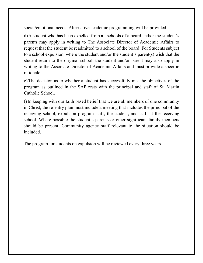social/emotional needs. Alternative academic programming will be provided.

d)A student who has been expelled from all schools of a board and/or the student's parents may apply in writing to The Associate Director of Academic Affairs to request that the student be readmitted to a school of the board. For Students subject to a school expulsion, where the student and/or the student's parent(s) wish that the student return to the original school, the student and/or parent may also apply in writing to the Associate Director of Academic Affairs and must provide a specific rationale.

e)The decision as to whether a student has successfully met the objectives of the program as outlined in the SAP rests with the principal and staff of St. Martin Catholic School.

f)In keeping with our faith based belief that we are all members of one community in Christ, the re-entry plan must include a meeting that includes the principal of the receiving school, expulsion program staff, the student, and staff at the receiving school. Where possible the student's parents or other significant family members should be present. Community agency staff relevant to the situation should be included.

The program for students on expulsion will be reviewed every three years.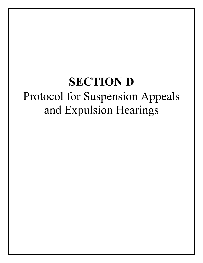## **SECTION D** Protocol for Suspension Appeals and Expulsion Hearings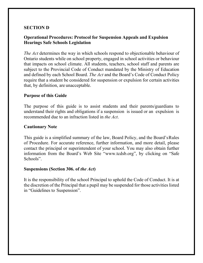#### **SECTION D**

### **Operational Procedures: Protocol for Suspension Appeals and Expulsion Hearings Safe Schools Legislation**

*The Act* determines the way in which schools respond to objectionable behaviour of Ontario students while on school property, engaged in school activities or behaviour that impacts on school climate. All students, teachers, school staff and parents are subject to the Provincial Code of Conduct mandated by the Ministry of Education and defined by each School Board. *The Act* and the Board's Code of Conduct Policy require that a student be considered for suspension or expulsion for certain activities that, by definition, are unacceptable.

#### **Purpose of this Guide**

The purpose of this guide is to assist students and their parents/guardians to understand their rights and obligations if a suspension is issued or an expulsion is recommended due to an infraction listed in *the Act*.

#### **Cautionary Note**

This guide is a simplified summary of the law, Board Policy, and the Board'sRules of Procedure. For accurate reference, further information, and more detail, please contact the principal or superintendent of your school. You may also obtain further information from the Board's Web Site ["www.tcdsb.org",](http://www.tcdsb.org/) by clicking on "Safe Schools".

#### **Suspensions (Section 306. of** *the Act***)**

It is the responsibility of the school Principal to uphold the Code of Conduct. It is at the discretion of the Principal that a pupil may be suspended for those activities listed in "Guidelines to Suspension".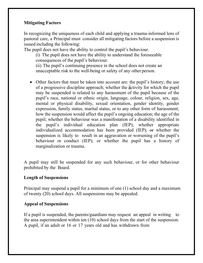#### **Mitigating Factors**

In recognizing the uniqueness of each child and applying a trauma-informed lens of pastoral care, a Principal must consider all mitigating factors before a suspension is issued including the following:

The pupil does not have the ability to control the pupil's behaviour.

(i) The pupil does not have the ability to understand the foreseeable consequences of the pupil's behaviour.

(ii) The pupil's continuing presence in the school does not create an unacceptable risk to the well-being or safety of any other person.

• Other factors that must be taken into account are: the pupil's history; the use of a progressive discipline approach; whether the activity for which the pupil may be suspended is related to any harassment of the pupil because of the pupil's race, national or ethnic origin, language, colour, religion, sex, age, mental or physical disability, sexual orientation, gender identity, gender expression, family status, marital status, or to any other form of harassment; how the suspension would affect the pupil's ongoing education; the age of the pupil; whether the behaviour was a manifestation of a disability identified in the pupil's individual education plan (IEP); whether appropriate individualized accommodation has been provided (IEP); or whether the suspension is likely to result in an aggravation or worsening of the pupil's behaviour or conduct (IEP); or whether the pupil has a history of marginalization or trauma.

A pupil may still be suspended for any such behaviour, or for other behaviour prohibited by the Board.

#### **Length of Suspensions**

Principal may suspend a pupil for a minimum of one (1) school day and a maximum of twenty (20) school days. All suspensions may be appealed.

#### **Appeal of Suspensions**

If a pupil is suspended, the parents/guardians may request an appeal in writing to the area superintendent within ten (10) school days from the start of the suspension. A pupil, if an adult or 16 or 17 years old and has withdrawn from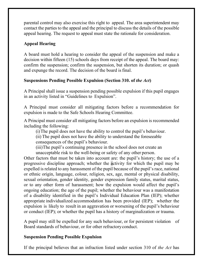parental control may also exercise this right to appeal. The area superintendent may contact the parties to the appeal and the principal to discuss the details of the possible appeal hearing. The request to appeal must state the rationale for consideration.

## **Appeal Hearing**

A board must hold a hearing to consider the appeal of the suspension and make a decision within fifteen (15) schools days from receipt of the appeal. The board may: confirm the suspension; confirm the suspension, but shorten its duration; or quash and expunge the record. The decision of the board is final.

### **Suspensions Pending Possible Expulsion (Section 310. of** *the Act***)**

A Principal shall issue a suspension pending possible expulsion if this pupil engages in an activity listed in "Guidelines to Expulsion".

A Principal must consider all mitigating factors before a recommendation for expulsion is made to the Safe Schools Hearing Committee.

A Principal must consider all mitigating factors before an expulsion is recommended including the following:

(i)The pupil does not have the ability to control the pupil's behaviour.

(ii) The pupil does not have the ability to understand the foreseeable

consequences of the pupil's behaviour.

(iii)The pupil's continuing presence in the school does not create an

unacceptable risk to the well-being or safety of any other person.

Other factors that must be taken into account are: the pupil's history; the use of a progressive discipline approach; whether the activity for which the pupil may be expelled is related to any harassment of the pupil because of the pupil's race, national or ethnic origin, language, colour, religion, sex, age, mental or physical disability, sexual orientation, gender identity, gender expression family status, marital status, or to any other form of harassment; how the expulsion would affect the pupil's ongoing education; the age of the pupil; whether the behaviour was a manifestation of a disability identified in the pupil's Individual Education Plan (IEP); whether appropriate individualized accommodation has been provided (IEP); whether the expulsion is likely to result in an aggravation or worsening of the pupil's behaviour or conduct (IEP); or whether the pupil has a history of marginalization or trauma.

A pupil may still be expelled for any such behaviour, or for persistent violation of Board standards of behaviour, or for other refractoryconduct.

### **Suspension Pending Possible Expulsion**

If the principal believes that an infraction listed under section 310 of *the Act* has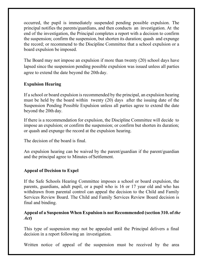occurred, the pupil is immediately suspended pending possible expulsion. The principal notifies the parents/guardians, and then conducts an investigation. At the end of the investigation, the Principal completes a report with a decision to confirm the suspension; confirm the suspension, but shorten its duration; quash and expunge the record; or recommend to the Discipline Committee that a school expulsion or a board expulsion be imposed.

The Board may not impose an expulsion if more than twenty (20) school days have lapsed since the suspension pending possible expulsion was issued unless all parties agree to extend the date beyond the 20th day.

## **Expulsion Hearing**

If a school or board expulsion is recommended by the principal, an expulsion hearing must be held by the board within twenty (20) days after the issuing date of the Suspension Pending Possible Expulsion unless all parties agree to extend the date beyond the 20th day.

If there is a recommendation for expulsion, the Discipline Committee will decide to impose an expulsion; or confirm the suspension; or confirm but shorten its duration; or quash and expunge the record at the expulsion hearing.

The decision of the board is final.

An expulsion hearing can be waived by the parent/guardian if the parent/guardian and the principal agree to Minutes ofSettlement.

### **Appeal of Decision to Expel**

If the Safe Schools Hearing Committee imposes a school or board expulsion, the parents, guardians, adult pupil, or a pupil who is 16 or 17 year old and who has withdrawn from parental control can appeal the decision to the Child and Family Services Review Board. The Child and Family Services Review Board decision is final and binding.

#### **Appeal of a Suspension When Expulsion is not Recommended (section 310. of** *the Act***)**

This type of suspension may not be appealed until the Principal delivers a final decision in a report following an investigation.

Written notice of appeal of the suspension must be received by the area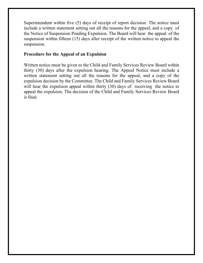Superintendent within five (5) days of receipt of report decision. The notice must include a written statement setting out all the reasons for the appeal, and a copy of the Notice of Suspension Pending Expulsion. The Board will hear the appeal of the suspension within fifteen (15) days after receipt of the written notice to appeal the suspension.

## **Procedure for the Appeal of an Expulsion**

Written notice must be given to the Child and Family Services Review Board within thirty (30) days after the expulsion hearing. The Appeal Notice must include a written statement setting out all the reasons for the appeal, and a copy of the expulsion decision by the Committee. The Child and Family Services Review Board will hear the expulsion appeal within thirty (30) days of receiving the notice to appeal the expulsion. The decision of the Child and Family Services Review Board is final.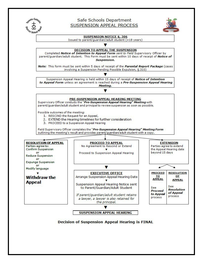

#### Safe Schools Department SUSPENSION APPEAL PROCESS





**Decision of Suspension Appeal Hearing is FINAL** 

**SUSPENSION APPEAL HEARING**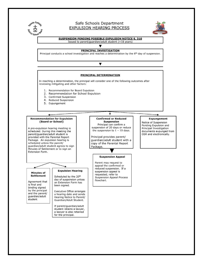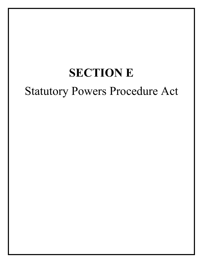# **SECTION E** Statutory Powers Procedure Act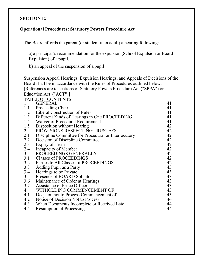## **SECTION E:**

## **Operational Procedures: Statutory Powers Procedure Act**

The Board affords the parent (or student if an adult) a hearing following:

a) a principal's recommendation for the expulsion (School Expulsion or Board Expulsion) of a pupil,

b) an appeal of the suspension of a pupil

Suspension Appeal Hearings, Expulsion Hearings, and Appeals of Decisions of the Board shall be in accordance with the Rules of Procedures outlined below: [References are to sections of Statutory Powers Procedure Act ("SPPA") or Education Act ("ACT")]

| <b>TABLE OF CONTENTS</b>                |                                                                                                                                                                                                                                        |
|-----------------------------------------|----------------------------------------------------------------------------------------------------------------------------------------------------------------------------------------------------------------------------------------|
|                                         | 41                                                                                                                                                                                                                                     |
|                                         | 41                                                                                                                                                                                                                                     |
|                                         | 41                                                                                                                                                                                                                                     |
|                                         | 41                                                                                                                                                                                                                                     |
| Waiver of Procedural Requirement        | 41                                                                                                                                                                                                                                     |
| Disposition without Hearing             | 42                                                                                                                                                                                                                                     |
| PROVISIONS RESPECTING TRUSTEES          | 42                                                                                                                                                                                                                                     |
|                                         | 42                                                                                                                                                                                                                                     |
| Decision of Discipline Committee        | 42                                                                                                                                                                                                                                     |
| Expiry of Term                          | 42                                                                                                                                                                                                                                     |
| Incapacity of Member                    | 42                                                                                                                                                                                                                                     |
| PROCEEDINGS GENERALLY                   | 42                                                                                                                                                                                                                                     |
| 3.1 Classes of PROCEEDINGS              | 42                                                                                                                                                                                                                                     |
| Parties to All Classes of PROCEEDINGS   | 42                                                                                                                                                                                                                                     |
| Adding Pupil as a Party                 | 43                                                                                                                                                                                                                                     |
| Hearings to be Private                  | 43                                                                                                                                                                                                                                     |
| Presence of BOARD Solicitor             | 43                                                                                                                                                                                                                                     |
| Maintenance of Order at Hearings        | 43                                                                                                                                                                                                                                     |
| Assistance of Peace Officer             | 43                                                                                                                                                                                                                                     |
| WITHOLDING COMMENCEMENT OF              | 43                                                                                                                                                                                                                                     |
| Decision not to Process Commencement of | 43                                                                                                                                                                                                                                     |
| Notice of Decision Not to Process       | 44                                                                                                                                                                                                                                     |
|                                         | 44                                                                                                                                                                                                                                     |
| Resumption of Processing                | 44                                                                                                                                                                                                                                     |
|                                         | <b>GENERAL</b><br>1.1 Proceeding Chair<br>1.2 Liberal Construction of Rules<br>1.3 Different Kinds of Hearings in One PROCEEDING<br>Discipline Committee for Procedural or Interlocutory<br>When Documents Incomplete or Received Late |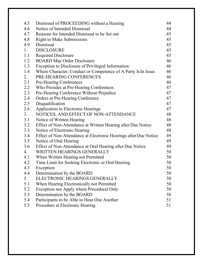| 4.5 | Dismissal of PROCEEDING without a Hearing                        | 44 |
|-----|------------------------------------------------------------------|----|
| 4.6 | Notice of Intended Dismissal                                     | 44 |
| 4.7 | Reasons for Intended Dismissal to be Set out                     | 45 |
| 4.8 | <b>Right to Make Submissions</b>                                 | 45 |
| 4.9 | Dismissal                                                        | 45 |
| 1.  | <b>DISCLOSURE</b>                                                | 45 |
| 1.1 | <b>Required Disclosure</b>                                       | 45 |
| 1.2 | <b>BOARD May Order Disclosure</b>                                | 46 |
| 1.3 | Exception to Disclosure of Privileged Information                | 46 |
| 1.4 | Where Character, Conduct or Competence of A Party Is In Issue    | 46 |
| 2.  | PRE-HEARING CONFERENCES                                          | 46 |
| 2.1 | Pre-Hearing Conferences                                          | 46 |
| 2.2 | Who Presides at Pre-Hearing Conferences                          | 47 |
| 2.3 | Pre-Hearing Conference Without Prejudice                         | 47 |
| 2.4 | Orders at Pre-Hearing Conference                                 | 47 |
| 2.5 | Disqualification                                                 | 47 |
| 2.6 | Application to Electronic Hearings                               | 47 |
| 3.  | NOTICES, AND EFFECT OF NON-ATTENDANCE                            | 48 |
| 3.1 | Notice of Written Hearing                                        | 48 |
| 3.2 | Effect of Non-Attendance at Written Hearing after Due Notice     | 48 |
| 3.3 | Notice of Electronic Hearing                                     | 48 |
| 3.4 | Effect of Non-Attendance at Electronic Hearings after Due Notice | 49 |
| 3.5 | Notice of Oral Hearing                                           | 49 |
| 3.6 | Effect of Non-Attendance at Oral Hearing after Due Notice        | 49 |
| 4.  | WRITTEN HEARINGS GENERALLY                                       | 50 |
| 4.1 | When Written Hearing not Permitted                               | 50 |
| 4.2 | Time Limit for Seeking Electronic or Oral Hearing                | 50 |
| 4.3 | Exception                                                        | 50 |
| 4.4 | Determination by the BOARD                                       | 50 |
| 5.  | ELECTRONIC HEARINGS GENERALLY                                    | 50 |
| 5.1 | When Hearing Electronically not Permitted                        | 50 |
| 5.2 | Exception not Apply where Procedural Only                        | 50 |
| 5.3 | Determination by the BOARD                                       | 50 |
| 5.4 | Participants to be Able to Hear One Another                      | 51 |
| 5.5 | Procedure at Electronic Hearing                                  | 51 |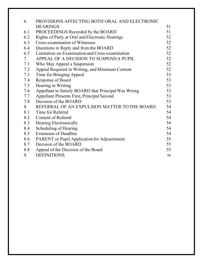| 6.  | PROVISIONS AFFECTING BOTH ORAL AND ELECTRONIC       |    |
|-----|-----------------------------------------------------|----|
|     | <b>HEARINGS</b>                                     | 51 |
| 6.1 | PROCEEDINGS Recorded by the BOARD                   | 51 |
| 6.2 | Rights of Party at Oral and Electronic Hearings     | 52 |
| 6.3 | Cross-examination of Witnesses                      | 52 |
| 6.4 | Questions in Reply and from the BOARD               | 52 |
| 6.5 | Limitation on Examination and Cross-examination     | 52 |
| 7.  | APPEAL OF A DECISION TO SUSPEND A PUPIL             | 52 |
| 7.1 | Who May Appeal a Suspension                         | 52 |
| 7.2 | Appeal Required in Writing, and Minimum Content     | 52 |
| 7.3 | Time for Bringing Appeal                            | 53 |
| 7.4 | Response of Board                                   | 53 |
| 7.5 | Hearing in Writing                                  | 53 |
| 7.6 | Appellant to Satisfy BOARD that Principal Was Wrong | 53 |
| 7.7 | <b>Appellant Presents First, Principal Second</b>   | 53 |
| 7.8 | Decision of the BOARD                               | 53 |
| 8.  | REFERRAL OF AN EXPULSION MATTER TO THE BOARD        | 54 |
| 8.1 | Time for Referral                                   | 54 |
| 8.2 | <b>Content of Referral</b>                          | 54 |
| 8.3 | <b>Hearing Electronically</b>                       | 54 |
| 8.4 | Scheduling of Hearing                               | 54 |
| 8.5 | <b>Extension of Deadline</b>                        | 54 |
| 8.6 | <b>PARENT</b> or Pupil Application for Adjournment  | 55 |
| 8.7 | Decision of the BOARD                               | 55 |
| 8.8 | Appeal of the Decision of the Board                 | 55 |
| 9.  | <b>DEFINITIONS</b>                                  | 56 |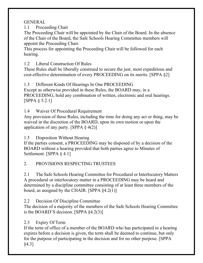GENERAL

1.1 Proceeding Chair

The Proceeding Chair will be appointed by the Chair of the Board. In the absence of the Chair of the Board, the Safe Schools Hearing Committee members will appoint the Proceeding Chair.

This process for appointing the Proceeding Chair will be followed for each hearing.

1.2 Liberal Construction Of Rules

These Rules shall be liberally construed to secure the just, most expeditious and cost-effective determination of every PROCEEDING on its merits. [SPPA §2]

1.3 Different Kinds Of Hearings In One PROCEEDING Except as otherwise provided in these Rules, the BOARD may, in a PROCEEDING, hold any combination of written, electronic and oral hearings. [SPPA § 5.2.1]

1.4 Waiver Of Procedural Requirement

Any provision of these Rules, including the time for doing any act or thing, may be waived in the discretion of the BOARD, upon its own motion or upon the application of any party. [SPPA  $\S$  4(2)]

1.5 Disposition Without Hearing

If the parties consent, a PROCEEDING may be disposed of by a decision of the BOARD without a hearing provided that both parties agree to Minutes of Settlement. [SPPA § 4.1]

## 2. PROVISIONS RESPECTING TRUSTEES

2.1 The Safe Schools Hearing Committee for Procedural or Interlocutory Matters A procedural or interlocutory matter in a PROCEEDING may be heard and determined by a discipline committee consisting of at least three members of the board, as assigned by the CHAIR. [SPPA  $\S 4.2(1)$ ]

2.2 Decision Of Discipline Committee

The decision of a majority of the members of the Safe Schools Hearing Committee is the BOARD'S decision. [SPPA §4.2(3)]

## 2.3 Expiry Of Term

If the term of office of a member of the BOARD who has participated in a hearing expires before a decision is given, the term shall be deemed to continue, but only for the purpose of participating in the decision and for no other purpose. [SPPA §4.3]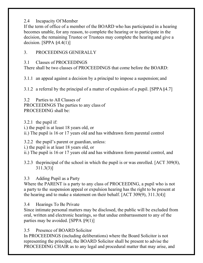## 2.4 Incapacity Of Member

If the term of office of a member of the BOARD who has participated in a hearing becomes unable, for any reason, to complete the hearing or to participate in the decision, the remaining Trustee or Trustees may complete the hearing and give a decision. [SPPA  $\S 4.4(1)$ ]

## 3. PROCEEDINGS GENERALLY

## 3.1 Classes of PROCEEDINGS

There shall be two classes of PROCEEDINGS that come before the BOARD:

3.1.1 an appeal against a decision by a principal to impose a suspension; and

3.1.2 a referral by the principal of a matter of expulsion of a pupil. [SPPA§4.7]

3.2 Parties to All Classes of PROCEEDINGS The parties to any class of PROCEEDING shall be:

3.2.1 the pupil if:

i.) the pupil is at least 18 years old, or

ii.) The pupil is 16 or 17 years old and has withdrawn form parental control

3.2.2 the pupil's parent or guardian, unless:

i.) the pupil is at least 18 years old, or

ii.) The pupil is 16 or 17 years old and has withdrawn form parental control, and

3.2.3 theprincipal of the school in which the pupil is or was enrolled. [ACT 309(8), 311.3(3)]

## 3.3 Adding Pupil as a Party

Where the PARENT is a party to any class of PROCEEDING, a pupil who is not a party to the suspension appeal or expulsion hearing has the right to be present at the hearing and to make a statement on their behalf. [ACT 309(9), 311.3(4)]

3.4 Hearings To Be Private

Since intimate personal matters may be disclosed, the public will be excluded from oral, written and electronic hearings, so that undue embarrassment to any of the parties may be avoided. [SPPA §9(1)]

3.5 Presence of BOARD Solicitor

In PROCEEDINGS (including deliberations) where the Board Solicitor is not representing the principal, the BOARD Solicitor shall be present to advise the PROCEEDING CHAIR as to any legal and procedural matter that may arise, and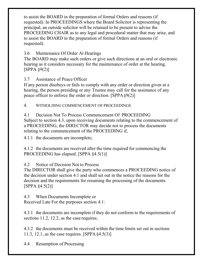to assist the BOARD in the preparation of formal Orders and reasons (if requested). In PROCEEDINGS where the Board Solicitor is representing the principal, an outside solicitor will be retained to be present to advise the PROCEEDING CHAIR as to any legal and procedural matter that may arise, and to assist the BOARD in the preparation of formal Orders and reasons (if requested).

## 3.6 Maintenance Of Order At Hearings

The BOARD may make such orders or give such directions at an oral or electronic hearing as it considers necessary for the maintenance of order at the hearing. [SPPA §9(2)]

3.7 Assistance of Peace Officer

If any person disobeys or fails to comply with any order or direction given at a hearing, the person presiding or any Trustee may call for the assistance of any peace officer to enforce the order or direction. [SPPA§9(2)]

4. WITHOLDING COMMENCEMENT OF PROCEEDINGS

4.1 Decision Not To Process Commencement Of PROCEEDING Subject to section 4.3, upon receiving documents relating to the commencement of a PROCEEDING, the DIRECTOR may decide not to process the documents relating to the commencement of the PROCEEDING if,

4.1.1 the documents are incomplete;

4.1.2 the documents are received after the time required for commencing the PROCEEDING has elapsed. [SPPA  $\S4.5(1)$ ]

4.2 Notice of Decision Not to Process

The DIRECTOR shall give the party who commences a PROCEEDING notice of the decision under section 4.1 and shall set out in the notice the reasons for the decision and the requirements for resuming the processing of the documents. [SPPA §4.5(2)]

4.3 When Documents Incomplete or Received Late For the purposes section 4.1:

4.3.1 the documents are incomplete if they do not conform to the requirements of sections 11.2, 12.2, as the case requires;

4.3.2 the documents must be received within the time limits set out in sections 11.3, 12.1, as the case requires. [SPPA§4.5(3)]

4.4 Resumption of Processing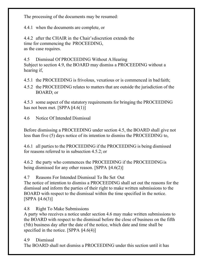The processing of the documents may be resumed:

4.4.1 when the documents are complete, or

4.4.2 after the CHAIR in the Chair'sdiscretion extends the time for commencing the PROCEEDING, as the case requires.

4.5 Dismissal Of PROCEEDING Without A Hearing Subject to section 4.9, the BOARD may dismiss a PROCEEDING without a hearing if,

4.5.1 the PROCEEDING is frivolous, vexatious or is commenced in bad faith;

4.5.2 the PROCEEDING relates to matters that are outside the jurisdiction of the BOARD; or

4.5.3 some aspect of the statutory requirements for bringing the PROCEEDING has not been met. [SPPA §4.6(1)]

4.6 Notice Of Intended Dismissal

Before dismissing a PROCEEDING under section 4.5, the BOARD shall give not less than five (5) days notice of its intention to dismiss the PROCEEDING to,

4.6.1 all parties to the PROCEEDING if the PROCEEDING is being dismissed for reasons referred to in subsection 4.5.2; or

4.6.2 the party who commences the PROCEEDING if the PROCEEDINGis being dismissed for any other reason. [SPPA §4.6(2)]

4.7 Reasons For Intended Dismissal To Be Set Out

The notice of intention to dismiss a PROCEEDING shall set out the reasons for the dismissal and inform the parties of their right to make written submissions to the BOARD with respect to the dismissal within the time specified in the notice. [SPPA §4.6(3)]

4.8 Right To Make Submissions

A party who receives a notice under section 4.6 may make written submissions to the BOARD with respect to the dismissal before the close of business on the fifth (5th) business day after the date of the notice, which date and time shall be specified in the notice. [SPPA  $§4.6(4)$ ]

4.9 Dismissal

The BOARD shall not dismiss a PROCEEDING under this section until it has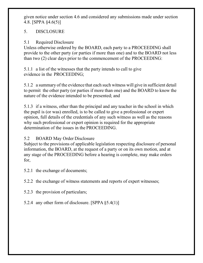given notice under section 4.6 and considered any submissions made under section 4.8. [SPPA §4.6(5)]

## 5. DISCLOSURE

5.1 Required Disclosure

Unless otherwise ordered by the BOARD, each party to a PROCEEDING shall provide to the other party (or parties if more than one) and to the BOARD not less than two (2) clear days prior to the commencement of the PROCEEDING:

5.1.1 a list of the witnesses that the party intends to call to give evidence in the PROCEEDING;

5.1.2 a summary of the evidence that each such witness will give in sufficient detail to permit the other party (or parties if more than one) and the BOARD to know the nature of the evidence intended to be presented; and

5.1.3 if a witness, other than the principal and any teacher in the school in which the pupil is (or was) enrolled, is to be called to give a professional or expert opinion, full details of the credentials of any such witness as well as the reasons why such professional or expert opinion is required for the appropriate determination of the issues in the PROCEEDING.

5.2 BOARD May Order Disclosure

Subject to the provisions of applicable legislation respecting disclosure of personal information, the BOARD, at the request of a party or on its own motion, and at any stage of the PROCEEDING before a hearing is complete, may make orders for,

5.2.1 the exchange of documents;

5.2.2 the exchange of witness statements and reports of expert witnesses;

5.2.3 the provision of particulars;

5.2.4 any other form of disclosure. [SPPA §5.4(1)]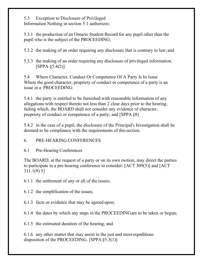5.3 Exception to Disclosure of Privileged Information Nothing in section 5.1 authorizes:

5.3.1 the production of an Ontario Student Record for any pupil other than the pupil who is the subject of the PROCEEDING;

5.3.2 the making of an order requiring any disclosure that is contrary to law;and

5.3.3 the making of an order requiring any disclosure of privileged information. [SPPA §5.4(2)]

5.4 Where Character, Conduct Or Competence Of A Party Is In Issue Where the good character, propriety of conduct or competence of a party is an issue in a PROCEEDING:

5.4.1 the party is entitled to be furnished with reasonable information of any allegations with respect thereto not less than 2 clear days prior to the hearing, failing which, the BOARD shall not consider any evidence of character, propriety of conduct or competence of a party; and [SPPA§8]

5.4.2 in the case of a pupil, the disclosure of the Principal's Investigation shall be deemed to be compliance with the requirements of this section.

6. PRE-HEARING CONFERENCES

6.1 Pre-Hearing Conferences

The BOARD, at the request of a party or on its own motion, may direct the parties to participate in a pre-hearing conference to consider: [ACT 309(5)] and [ACT 311.1(9) 5]

6.1.1 the settlement of any or all of the issues;

6.1.2 the simplification of the issues;

6.1.3 facts or evidence that may be agreed upon;

6.1.4 the dates by which any steps in the PROCEEDINGare to be taken or begun;

6.1.5 the estimated duration of the hearing; and

6.1.6 any other matter that may assist in the just and most expeditious disposition of the PROCEEDING. [SPPA §5.3(1)]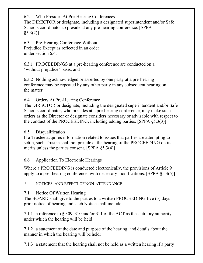6.2 Who Presides At Pre-Hearing Conferences

The DIRECTOR or designate, including a designated superintendent and/or Safe Schools coordinator to preside at any pre-hearing conference. [SPPA  $§5.3(2)]$ 

6.3 Pre-Hearing Conference Without Prejudice Except as reflected in an order under section 6.4:

6.3.1 PROCEEDINGS at a pre-hearing conference are conducted on a "without prejudice" basis, and

6.3.2 Nothing acknowledged or asserted by one party at a pre-hearing conference may be repeated by any other party in any subsequent hearing on the matter.

6.4 Orders At Pre-Hearing Conference

The DIRECTOR or designate, including the designated superintendent and/or Safe Schools coordinator, who presides at a pre-hearing conference, may make such orders as the Director or designate considers necessary or advisable with respect to the conduct of the PROCEEDING, including adding parties. [SPPA §5.3(3)]

## 6.5 Disqualification

If a Trustee acquires information related to issues that parties are attempting to settle, such Trustee shall not preside at the hearing of the PROCEEDING on its merits unless the parties consent. [SPPA §5.3(4)]

6.6 Application To Electronic Hearings

Where a PROCEEDING is conducted electronically, the provisions of Article 9 apply to a pre- hearing conference, with necessary modifications. [SPPA §5.3(5)]

7. NOTICES, AND EFFECT OF NON-ATTENDANCE

## 7.1 Notice Of Written Hearing

The BOARD shall give to the parties to a written PROCEEDING five (5) days prior notice of hearing and such Notice shall include:

7.1.1 a reference to § 309, 310 and/or 311 of the ACT as the statutory authority under which the hearing will be held

7.1.2 a statement of the date and purpose of the hearing, and details about the manner in which the hearing will be held;

7.1.3 a statement that the hearing shall not be held as a written hearing if a party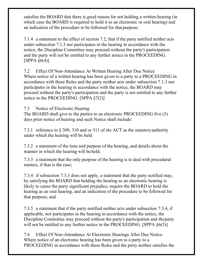satisfies the BOARD that there is good reason for not holding a written hearing (in which case the BOARD is required to hold it as an electronic or oral hearing) and an indication of the procedure to be followed for thatpurpose;

7.1.4 a statement to the effect of section 7.2, that if the party notified neither acts under subsection 7.1.3 nor participates in the hearing in accordance with the notice, the Discipline Committee may proceed without the party's participation and the party will not be entitled to any further notice in the PROCEEDING.  $[SPPA §6(4)]$ 

7.2 Effect Of Non-Attendance At Written Hearing After Due Notice Where notice of a written hearing has been given to a party to a PROCEEDING in accordance with these Rules and the party neither acts under subsection 7.1.3 nor participates in the hearing in accordance with the notice, the BOARD may proceed without the party's participation and the party is not entitled to any further notice in the PROCEEDING. [SPPA §7(2)]

7.3 Notice of Electronic Hearing

The BOARD shall give to the parties to an electronic PROCEEDING five (5) days prior notice of hearing and such Notice shall include:

7.3.1 reference to § 309, 310 and or 311 of *the* ACT as the statutoryauthority under which the hearing will be held

7.3.2 a statement of the time and purpose of the hearing, and details about the manner in which the hearing will be held;

7.3.3 a statement that the only purpose of the hearing is to deal with procedural matters, if that is the case;

7.3.4 if subsection 7.3.3 does not apply, a statement that the party notified may, by satisfying the BOARD that holding the hearing as an electronic hearing is likely to cause the party significant prejudice, require the BOARD to hold the hearing as an oral hearing, and an indication of the procedure to be followed for that purpose; and

7.3.5 a statement that if the party notified neither acts under subsection 7.3.4, if applicable, nor participates in the hearing in accordance with the notice, the Discipline Committee may proceed without the party's participation and theparty will not be entitled to any further notice in the PROCEEDING. [SPPA  $\S6(5)$ ]

7.4 Effect Of Non-Attendance At Electronic Hearings After Due Notice Where notice of an electronic hearing has been given to a party to a PROCEEDING in accordance with these Rules and the party neither satisfies the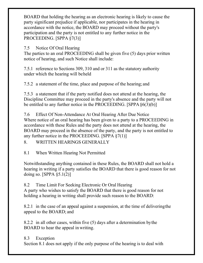BOARD that holding the hearing as an electronic hearing is likely to cause the party significant prejudice if applicable, nor participates in the hearing in accordance with the notice, the BOARD may proceed without the party's participation and the party is not entitled to any further notice in the PROCEEDING. [SPPA §7(3)]

7.5 Notice Of Oral Hearing

The parties to an oral PROCEEDING shall be given five (5) days prior written notice of hearing, and such Notice shall include:

7.5.1 reference to Sections 309, 310 and or 311 as the statutory authority under which the hearing will beheld

7.5.2 a statement of the time, place and purpose of the hearing; and

7.5.3 a statement that if the party notified does not attend at the hearing, the Discipline Committee may proceed in the party's absence and the party will not be entitled to any further notice in the PROCEEDING. [SPPA§6(3)(b)]

7.6 Effect Of Non-Attendance At Oral Hearing After Due Notice Where notice of an oral hearing has been given to a party to a PROCEEDING in accordance with these Rules and the party does not attend at the hearing, the BOARD may proceed in the absence of the party, and the party is not entitled to any further notice in the PROCEEDING. [SPPA §7(1)]

8. WRITTEN HEARINGS GENERALLY

8.1 When Written Hearing Not Permitted

Notwithstanding anything contained in these Rules, the BOARD shall not hold a hearing in writing if a party satisfies the BOARD that there is good reason for not doing so. [SPPA  $\S 5.1(2)$ ]

8.2 Time Limit For Seeking Electronic Or Oral Hearing A party who wishes to satisfy the BOARD that there is good reason for not holding a hearing in writing shall provide such reason to the BOARD:

8.2.1 in the case of an appeal against a suspension, at the time of deliveringthe appeal to the BOARD; and

8.2.2 in all other cases, within five (5) days after a determination bythe BOARD to hear the appeal in writing.

## 8.3 Exception

Section 8.1 does not apply if the only purpose of the hearing is to deal with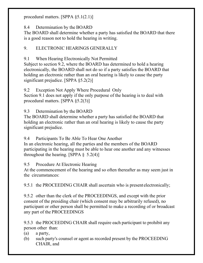procedural matters. [SPPA §5.1(2.1)]

8.4 Determination by the BOARD

The BOARD shall determine whether a party has satisfied the BOARD that there is a good reason not to hold the hearing in writing.

9. ELECTRONIC HEARINGS GENERALLY

9.1 When Hearing Electronically Not Permitted

Subject to section 9.2, where the BOARD has determined to hold a hearing electronically, the BOARD shall not do so if a party satisfies the BOARD that holding an electronic rather than an oral hearing is likely to cause the party significant prejudice. [SPPA §5.2(2)]

9.2 Exception Not Apply Where Procedural Only

Section 9.1 does not apply if the only purpose of the hearing is to deal with procedural matters. [SPPA §5.2(3)]

9.3 Determination by the BOARD

The BOARD shall determine whether a party has satisfied the BOARD that holding an electronic rather than an oral hearing is likely to cause the party significant prejudice.

9.4 Participants To Be Able To Hear One Another

In an electronic hearing, all the parties and the members of the BOARD participating in the hearing must be able to hear one another and any witnesses throughout the hearing. [SPPA  $\S$  5.2(4)]

9.5 Procedure At Electronic Hearing

At the commencement of the hearing and so often thereafter as may seem just in the circumstances:

9.5.1 the PROCEEDING CHAIR shall ascertain who is present electronically;

9.5.2 other than the clerk of the PROCEEDINGS, and except with the prior consent of the presiding chair (which consent may be arbitrarily refused), no participant or other person shall be permitted to make a recording of or broadcast any part of the PROCEEDINGS

9.5.3 the PROCEEDING CHAIR shall require each participant to prohibit any person other than:

- (a) a party,
- (b) such party's counsel or agent as recorded present by the PROCEEDING CHAIR, and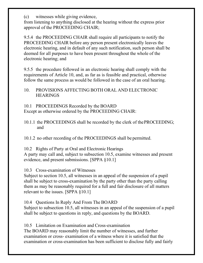(c) witnesses while giving evidence,

from listening to anything disclosed at the hearing without the express prior approval of the PROCEEDING CHAIR;

9.5.4 the PROCEEDING CHAIR shall require all participants to notify the PROCEEDING CHAIR before any person present electronically leaves the electronic hearing, and in default of any such notification, such person shall be deemed for all purposes to have been present throughout the whole of the electronic hearing; and

9.5.5 the procedure followed in an electronic hearing shall comply with the requirements of Article 10, and, as far as is feasible and practical, otherwise follow the same process as would be followed in the case of an oral hearing.

## 10. PROVISIONS AFFECTING BOTH ORAL AND ELECTRONIC **HEARINGS**

10.1 PROCEEDINGS Recorded by the BOARD

Except as otherwise ordered by the PROCEEDING CHAIR:

10.1.1 the PROCEEDINGS shall be recorded by the clerk of thePROCEEDING; and

10.1.2 no other recording of the PROCEEDINGS shall be permitted.

10.2 Rights of Party at Oral and Electronic Hearings

A party may call and, subject to subsection 10.5, examine witnesses and present evidence, and present submissions. [SPPA §10.1]

10.3 Cross-examination of Witnesses

Subject to section 10.5, all witnesses in an appeal of the suspension of a pupil shall be subject to cross-examination by the party other than the party calling them as may be reasonably required for a full and fair disclosure of all matters relevant to the issues. [SPPA §10.1]

10.4 Questions In Reply And From The BOARD

Subject to subsection 10.5, all witnesses in an appeal of the suspension of a pupil shall be subject to questions in reply, and questions by the BOARD.

10.5 Limitation on Examination and Cross-examination The BOARD may reasonably limit the number of witnesses, and further examination or cross- examination of a witness where it is satisfied that the examination or cross-examination has been sufficient to disclose fully and fairly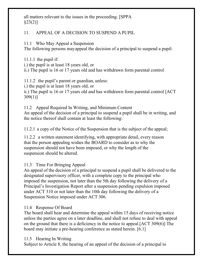all matters relevant to the issues in the proceeding. [SPPA  $\S 23(2)]$ 

## 11. APPEAL OF A DECISION TO SUSPEND A PUPIL

11.1 Who May Appeal a Suspension

The following persons mayappeal the decision of a principal to suspend a pupil:

11.1.1 the pupil if: i.) the pupil is at least 18 years old, or ii.) The pupil is 16 or 17 years old and has withdrawn form parental control

11.1.2 the pupil's parent or guardian, unless: i.) the pupil is at least 18 years old, or ii.) The pupil is 16 or 17 years old and has withdrawn form parental control [ACT 309(1)]

11.2 Appeal Required In Writing, and Minimum Content An appeal of the decision of a principal to suspend a pupil shall be in writing, and the notice thereof shall contain at least the following:

11.2.1 a copy of the Notice of the Suspension that is the subject of the appeal;

11.2.2 a written statement identifying, with appropriate detail, every reason that the person appealing wishes the BOARD to consider as to why the suspension should not have been imposed, or why the length of the suspension should be altered.

## 11.3 Time For Bringing Appeal

An appeal of the decision of a principal to suspend a pupil shall be delivered to the designated supervisory officer, with a complete copy to the principal who imposed the suspension, not later than the 5th day following the delivery of a Principal's Investigation Report after a suspension pending expulsion imposed under ACT 310 or not later than the 10th day following the delivery of a Suspension Notice imposed under ACT 306.

## 11.4 Response Of Board

The board shall hear and determine the appeal within 15 days of receiving notice unless the parties agree on a later deadline, and shall not refuse to deal with appeal on the ground that there is a deficiency in the notice to appeal.[ACT 309(6)] The board may initiate a pre-hearing conference as stated herein. [6.1]

## 11.5 Hearing In Writing

Subject to Article 8, the hearing of an appeal of the decision of a principal to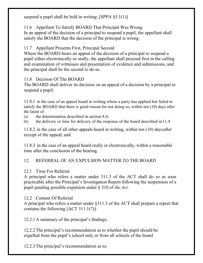suspend a pupil shall be held in writing. [SPPA §5.1(1)]

11.6 Appellant To Satisfy BOARD That Principal Was Wrong

In an appeal of the decision of a principal to suspend a pupil, the appellant shall satisfy the BOARD that the decision of the principal is wrong.

11.7 Appellant Presents First, Principal Second

Where the BOARD hears an appeal of the decision of a principal to suspend a pupil either electronically or orally, the appellant shall proceed first in the calling and examination of witnesses and presentation of evidence and submissions, and the principal shall be the second to do so.

11.8 Decision Of The BOARD

The BOARD shall deliver its decision on an appeal of a decision by a principal to suspend a pupil:

11.8.1 in the case of an appeal heard in writing where a party has applied but failed to satisfy the BOARD that there is good reason for not doing so, within ten (10) days after the latest of

(a) the determination described in section 8.4;

(b) the delivery or time for delivery of the response of the board described in11.4

11.8.2 in the case of all other appeals heard in writing, within ten (10) daysafter receipt of the appeal; and

11.8.3 in the case of an appeal heard orally or electronically, within a reasonable time after the conclusion of the hearing.

## 12. REFERRAL OF AN EXPULSION MATTER TO THEBOARD

## 12.1 Time For Referral

A principal who refers a matter under 311.3 of the ACT shall do so as soon practicable after the Principal's Investigation Report following the suspension of a pupil pending possible expulsion under § 310 of *the Act*.

## 12.2 Content Of Referral

A principal who refers a matter under §311.3 of the ACT shall prepare a report that contains the following [ACT 311.1(7)]:

12.2.1A summary of the principal's findings;

12.2.2The principal's recommendation as to whether the pupil should be expelled from the pupil's school only or from all schools of the board

12.2.3The principal's recommendation as to,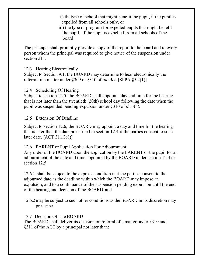- i.) thetype of school that might benefit the pupil, if the pupil is expelled from all schools only, or
- ii.) the type of program for expelled pupils that might benefit the pupil , if the pupil is expelled from all schools of the board

The principal shall promptly provide a copy of the report to the board and to every person whom the principal was required to give notice of the suspension under section 311.

### 12.3 Hearing Electronically

Subject to Section 9.1, the BOARD may determine to hear electronically the referral of a matter under §309 or §310 of *the Act*. [SPPA §5.2(1)]

### 12.4 Scheduling Of Hearing

Subject to section 12.5, the BOARD shall appoint a day and time for the hearing that is not later than the twentieth (20th) school day following the date when the pupil was suspended pending expulsion under §310 of *the Act*.

#### 12.5 Extension Of Deadline

Subject to section 12.6, the BOARD may appoint a day and time for the hearing that is later than the date prescribed in section 12.4 if the parties consent to such later date. [ACT 311.3(8)]

#### 12.6 PARENT or Pupil Application For Adjournment

Any order of the BOARD upon the application by the PARENT or the pupil for an adjournment of the date and time appointed by the BOARD under section 12.4 or section 12.5

12.6.1 shall be subject to the express condition that the parties consent to the adjourned date as the deadline within which the BOARD may impose an expulsion, and to a continuance of the suspension pending expulsion until the end of the hearing and decision of the BOARD, and

12.6.2may be subject to such other conditions as the BOARD in its discretion may prescribe.

### 12.7 Decision Of The BOARD

The BOARD shall deliver its decision on referral of a matter under §310 and §311 of the ACT by a principal not later than: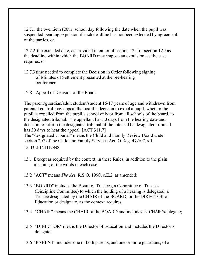12.7.1 the twentieth (20th) school day following the date when the pupil was suspended pending expulsion if such deadline has not been extended by agreement of the parties, or

12.7.2 the extended date, as provided in either of section 12.4 or section 12.5as the deadline within which the BOARD may impose an expulsion, as the case requires. or

- 12.7.3time needed to complete the Decision in Order following signing of Minutes of Settlement presented at the pre-hearing conference.
- 12.8 Appeal of Decision of the Board

The parent/guardian/adult student/student 16/17 years of age and withdrawn from parental control may appeal the board's decision to expel a pupil, whether the pupil is expelled from the pupil's school only or from all schools of the board, to the designated tribunal. The appellant has 30 days from the hearing date and decision to inform the designated tribunal of the intent. The designated tribunal has 30 days to hear the appeal. [ACT 311.7]

The "designated tribunal" means the Child and Family Review Board under section 207 of the Child and Family Services Act. O Reg. 472/07, s.1.

13. DEFINITIONS

- 13.1 Except as required by the context, in these Rules, in addition to the plain meaning of the words in each case:
- 13.2 "ACT" means *The Act*, R.S.O. 1990, c.E.2, as amended;
- 13.3 "BOARD" includes the Board of Trustees, a Committee of Trustees (Discipline Committee) to which the holding of a hearing is delegated, a Trustee designated by the CHAIR of the BOARD, or the DIRECTOR of Education or designate, as the context requires;
- 13.4 "CHAIR" means the CHAIR of the BOARD and includes the CHAIR's delegate;
- 13.5 "DIRECTOR" means the Director of Education and includes the Director's delegate;
- 13.6 "PARENT" includes one or both parents, and one or more guardians, of a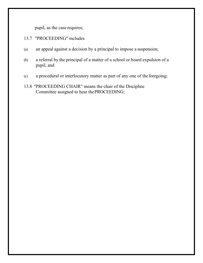pupil, as the case requires;

- 13.7 "PROCEEDING" includes
- (a) an appeal against a decision by a principal to impose a suspension;
- (b) a referral by the principal of a matter of a school or board expulsion of a pupil, and
- (c) a procedural or interlocutory matter as part of any one of the foregoing;
- 13.8 "PROCEEDING CHAIR" means the chair of the Discipline Committee assigned to hear thePROCEEDING;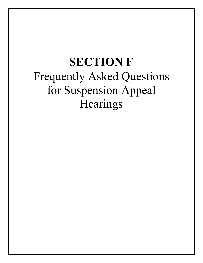## **SECTION F** Frequently Asked Questions for Suspension Appeal Hearings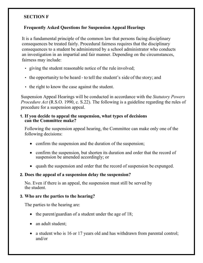### **SECTION F**

#### **Frequently Asked Questions for Suspension Appeal Hearings**

It is a fundamental principle of the common law that persons facing disciplinary consequences be treated fairly. Procedural fairness requires that the disciplinary consequences to a student be administered by a school administrator who conducts an investigation in an impartial and fair manner. Depending on the circumstances, fairness may include:

- giving the student reasonable notice of the rule involved;
- the opportunity to be heard to tell the student's side of the story; and
- the right to know the case against the student.

Suspension Appeal Hearings will be conducted in accordance with the *Statutory Powers Procedure Act* (R.S.O. 1990, c. S.22). The following is a guideline regarding the rules of procedure for a suspension appeal.

#### **1. If you decide to appeal the suspension, what types of decisions can the Committee make?**

Following the suspension appeal hearing, the Committee can make only one of the following decisions:

- confirm the suspension and the duration of the suspension;
- confirm the suspension, but shorten its duration and order that the record of suspension be amended accordingly; or
- quash the suspension and order that the record of suspension be expunged.

#### **2. Does the appeal of a suspension delay the suspension?**

No. Even if there is an appeal, the suspension must still be served by the student.

#### **3. Who are the parties to the hearing?**

The parties to the hearing are:

- the parent/guardian of a student under the age of 18;
- an adult student;
- a student who is 16 or 17 years old and has withdrawn from parental control; and/or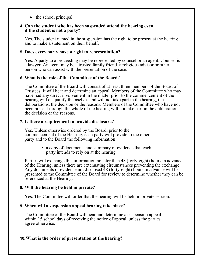• the school principal.

#### **4. Can the student who has been suspended attend the hearing even if the student is not a party?**

Yes. The student named in the suspension has the right to be present at the hearing and to make a statement on their behalf.

#### **5. Does every party have a right to representation?**

Yes. A party to a proceeding may be represented by counsel or an agent. Counsel is a lawyer. An agent may be a trusted family friend, a religious advisor or other person who can assist with the presentation of the case.

#### **6. What is the role of the Committee of the Board?**

The Committee of the Board will consist of at least three members of the Board of Trustees. It will hear and determine an appeal. Members of the Committee who may have had any direct involvement in the matter prior to the commencement of the hearing will disqualify themselves and will not take part in the hearing, the deliberations, the decision or the reasons. Members of the Committee who have not been present through the whole of the hearing will not take part in the deliberations, the decision or the reasons.

#### **7. Is there a requirement to provide disclosure?**

Yes. Unless otherwise ordered by the Board, prior to the commencement of the Hearing, each party will provide to the other party and to the Board the following information:

> • a copy of documents and summary of evidence that each party intends to rely on at the hearing.

Parties will exchange this information no later than 48 (forty-eight) hours in advance of the Hearing, unless there are extenuating circumstances preventing the exchange. Any documents or evidence not disclosed 48 (forty-eight) hours in advance will be presented to the Committee of the Board for review to determine whether they can be referenced at the Hearing.

### **8. Will the hearing be held in private?**

Yes. The Committee will order that the hearing will be held in private session.

#### **9. When will a suspension appeal hearing take place?**

The Committee of the Board will hear and determine a suspension appeal within 15 school days of receiving the notice of appeal, unless the parties agree otherwise.

### **10.What is the order of presentation at the hearing?**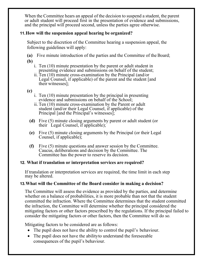When the Committee hears an appeal of the decision to suspend a student, the parent or adult student will proceed first in the presentation of evidence and submissions, and the principal will proceed second, unless the parties agree otherwise.

### **11.How will the suspension appeal hearing be organized?**

Subject to the discretion of the Committee hearing a suspension appeal, the following guidelines will apply:

**(a)** Five minute introduction of the parties and the Committee of the Board; **(b)**

- i. Ten (10) minute presentation by the parent or adult student in presenting evidence and submissions on behalf of the student;
- ii. Ten (10) minute cross-examination by the Principal (and/or Legal Counsel, if applicable) of the parent and the student [and their witnesses];

## **(c)**

- i. Ten (10) minute presentation by the principal in presenting evidence and submissions on behalf of the School;
- ii. Ten (10) minute cross-examination by the Parent or adult student (and/or their Legal Counsel, if applicable) of the Principal [and the Principal's witnesses];
- **(d)** Five (5) minute closing arguments by parent or adult student (or their Legal Counsel, if applicable);
- **(e)** Five (5) minute closing arguments by the Principal (or their Legal Counsel, if applicable);
- **(f)** Five (5) minute questions and answer session by the Committee. Caucus, deliberations and decision by the Committee. The Committee has the power to reserve its decision.

### **12. What if translation or interpretation services are required?**

If translation or interpretation services are required, the time limit in each step may be altered.

### **13.What will the Committee of the Board consider in making a decision?**

The Committee will assess the evidence as provided by the parties, and determine whether on a balance of probabilities, it is more probable than not that the student committed the infraction. Where the Committee determines that the student committed the infraction, the Committee will determine whether the principal considered the mitigating factors or other factors prescribed by the regulations. If the principal failed to consider the mitigating factors or other factors, then the Committee will do so.

Mitigating factors to be considered are as follows:

- The pupil does not have the ability to control the pupil's behaviour.
- The pupil does not have the ability to understand the foreseeable consequences of the pupil's behaviour.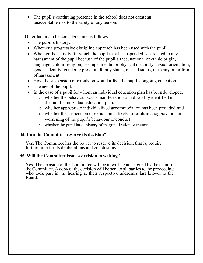• The pupil's continuing presence in the school does not create an unacceptable risk to the safety of any person.

Other factors to be considered are as follows:

- The pupil's history.
- Whether a progressive discipline approach has been used with the pupil.
- Whether the activity for which the pupil may be suspended was related to any harassment of the pupil because of the pupil's race, national or ethnic origin, language, colour, religion, sex, age, mental or physical disability, sexual orientation, gender identity, gender expression, family status, marital status, or to any other form of harassment.
- How the suspension or expulsion would affect the pupil's ongoing education.
- The age of the pupil.
- In the case of a pupil for whom an individual education plan has been developed,
	- o whether the behaviour was a manifestation of a disability identified in the pupil's individual education plan.
	- o whether appropriate individualized accommodation has been provided,and
	- o whether the suspension or expulsion is likely to result in anaggravation or worsening of the pupil's behaviour or conduct.
	- o whether the pupil has a history of marginalization or trauma.

### **14. Can the Committee reserve its decision?**

Yes. The Committee has the power to reserve its decision; that is, require further time for its deliberations and conclusions.

### **15. Will the Committee issue a decision in writing?**

Yes. The decision of the Committee will be in writing and signed by the chair of the Committee. A copy of the decision will be sent to all parties to the proceeding who took part in the hearing at their respective addresses last known to the Board.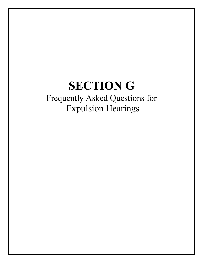## **SECTION G** Frequently Asked Questions for Expulsion Hearings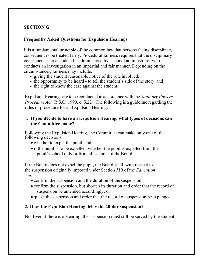## **SECTION G**

#### **Frequently Asked Questions for Expulsion Hearings**

It is a fundamental principle of the common law that persons facing disciplinary consequences be treated fairly. Procedural fairness requires that the disciplinary consequences to a student be administered by a school administrator who conducts an investigation in an impartial and fair manner. Depending on the circumstances, fairness may include:

- giving the student reasonable notice of the rule involved;
- the opportunity to be heard to tell the student's side of the story; and
- the right to know the case against the student.

Expulsion Hearings are to be conducted in accordance with the *Statutory Powers Procedure Act* (R.S.O. 1990, c. S.22). The following is a guideline regarding the rules of procedure for an Expulsion Hearing:

#### **1. If you decide to have an Expulsion Hearing, what types of decisions can the Committee make?**

Following the Expulsion Hearing, the Committee can make only one of the following decisions:

- whether to expel the pupil; and
- if the pupil is to be expelled, whether the pupil is expelled from the pupil's school only or from all schools of theBoard.

If the Board does not expel the pupil, the Board shall, with respect to the suspension originally imposed under Section 310 of the *Education Act*:

- confirm the suspension and the duration of the suspension;
- confirm the suspension, but shorten its duration and order that the record of suspension be amended accordingly; or
- quash the suspension and order that the record of suspension be expunged.

### **2. Does the Expulsion Hearing delay the 20-day suspension?**

No. Even if there is a Hearing, the suspension must still be served by the student.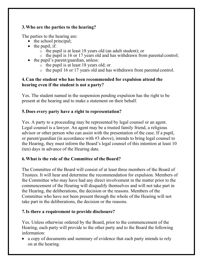## **3.Who are the parties to the hearing?**

The parties to the hearing are:

- the school principal;
- $\bullet$  the pupil, if:
	- $\overline{\circ}$  the pupil is at least 18 years old (an adult student); or
	- o the pupil is 16 or 17 years old and has withdrawn from parental control;
- the pupil's parent/guardian, unless:
	- o the pupil is at least 18 years old; or
	- o the pupil 16 or 17 years old and has withdrawn from parental control.

## **4.Can the student who has been recommended for expulsion attend the hearing even if the student is not a party?**

Yes. The student named in the suspension pending expulsion has the right to be present at the hearing and to make a statement on their behalf.

## **5.Does every party have a right to representation?**

Yes. A party to a proceeding may be represented by legal counsel or an agent. Legal counsel is a lawyer. An agent may be a trusted family friend, a religious advisor or other person who can assist with the presentation of the case. If a pupil, or parent/guardian (in accordance with #3 above), intends to bring legal counsel to the Hearing, they must inform the Board's legal counsel of this intention at least 10 (ten) days in advance of the Hearing date.

## **6.What is the role of the Committee of the Board?**

The Committee of the Board will consist of at least three members of the Board of Trustees. It will hear and determine the recommendation for expulsion. Members of the Committee who may have had any direct involvement in the matter prior to the commencement of the Hearing will disqualify themselves and will not take part in the Hearing, the deliberations, the decision or the reasons. Members of the Committee who have not been present through the whole of the Hearing will not take part in the deliberations, the decision or the reasons.

## **7.Is there a requirement to provide disclosure?**

Yes. Unless otherwise ordered by the Board, prior to the commencement of the Hearing, each party will provide to the other party and to the Board the following information:

• a copy of documents and summary of evidence that each party intends to rely on at the hearing.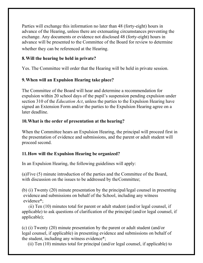Parties will exchange this information no later than 48 (forty-eight) hours in advance of the Hearing, unless there are extenuating circumstances preventing the exchange. Any documents or evidence not disclosed 48 (forty-eight) hours in advance will be presented to the Committee of the Board for review to determine whether they can be referenced at the Hearing.

## **8.Will the hearing be held in private?**

Yes. The Committee will order that the Hearing will be held in private session.

## **9.When will an Expulsion Hearing take place?**

The Committee of the Board will hear and determine a recommendation for expulsion within 20 school days of the pupil's suspension pending expulsion under section 310 of the *Education Act*, unless the parties to the Expulsion Hearing have signed an Extension Form and/or the parties to the Expulsion Hearing agree on a later deadline.

## **10.What is the order of presentation at the hearing?**

When the Committee hears an Expulsion Hearing, the principal will proceed first in the presentation of evidence and submissions, and the parent or adult student will proceed second.

## **11.How will the Expulsion Hearing be organized?**

In an Expulsion Hearing, the following guidelines will apply:

(a)Five (5) minute introduction of the parties and the Committee of the Board, with discussion on the issues to be addressed by the Committee;

(b) (i) Twenty (20) minute presentation by the principal/legal counsel in presenting evidence and submissions on behalf of the School, including any witness evidence\*;

(ii) Ten (10) minutes total for parent or adult student (and/or legal counsel, if applicable) to ask questions of clarification of the principal (and/or legal counsel, if applicable);

(c) (i) Twenty (20) minute presentation by the parent or adult student (and/or legal counsel, if applicable) in presenting evidence and submissions on behalf of the student, including any witness evidence\*;

(ii) Ten (10) minutes total for principal (and/or legal counsel, if applicable) to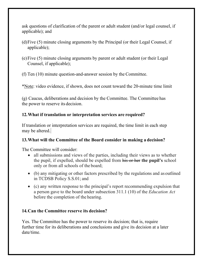ask questions of clarification of the parent or adult student (and/or legal counsel, if applicable); and

- (d)Five (5) minute closing arguments by the Principal (or their Legal Counsel, if applicable);
- (e)Five (5) minute closing arguments by parent or adult student (or their Legal Counsel, if applicable);

(f) Ten (10) minute question-and-answer session by the Committee.

\*Note: video evidence, if shown, does not count toward the 20-minute time limit

(g) Caucus, deliberations and decision by the Committee. The Committee has the power to reserve its decision.

## **12.What if translation or interpretation services are required?**

If translation or interpretation services are required, the time limit in each step may be altered.

## **13.What will the Committee of the Board consider in making a decision?**

The Committee will consider:

- all submissions and views of the parties, including their views as to whether the pupil, if expelled, should be expelled from his or her **the pupil's** school only or from all schools of the board;
- (b) any mitigating or other factors prescribed by the regulations and as outlined in TCDSB Policy S.S.01; and
- (c) any written response to the principal's report recommending expulsion that a person gave to the board under subsection 311.1 (10) of the *Education Act*  before the completion of the hearing.

## **14.Can the Committee reserve its decision?**

Yes. The Committee has the power to reserve its decision; that is, require further time for its deliberations and conclusions and give its decision at a later date/time.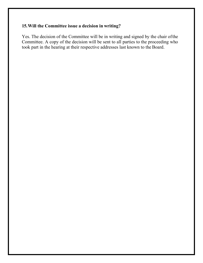## **15.Will the Committee issue a decision in writing?**

Yes. The decision of the Committee will be in writing and signed by the chair ofthe Committee. A copy of the decision will be sent to all parties to the proceeding who took part in the hearing at their respective addresses last known to the Board.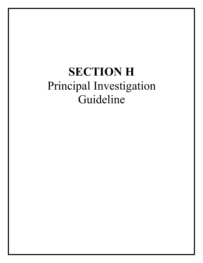## **SECTION H** Principal Investigation Guideline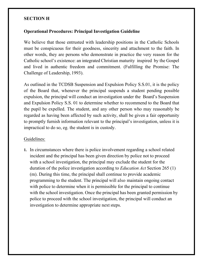#### **SECTION H**

#### **Operational Procedures: Principal Investigation Guideline**

We believe that those entrusted with leadership positions in the Catholic Schools must be conspicuous for their goodness, sincerity and attachment to the faith. In other words, they are persons who demonstrate in practice the very reason for the Catholic school's existence: an integrated Christian maturity inspired by the Gospel and lived in authentic freedom and commitment. (Fulfilling the Promise: The Challenge of Leadership, 1993).

As outlined in the TCDSB Suspension and Expulsion Policy S.S.01, it is the policy of the Board that, whenever the principal suspends a student pending possible expulsion, the principal will conduct an investigation under the Board's Suspension and Expulsion Policy S.S. 01 to determine whether to recommend to the Board that the pupil be expelled. The student, and any other person who may reasonably be regarded as having been affected by such activity, shall be given a fair opportunity to promptly furnish information relevant to the principal's investigation, unless it is impractical to do so, eg. the student is in custody.

#### Guidelines:

**1.** In circumstances where there is police involvement regarding a school related incident and the principal has been given direction by police not to proceed with a school investigation, the principal may exclude the student for the duration of the police investigation according to *Education Act* Section 265 (1) (m). During this time, the principal shall continue to provide academic programming to the student. The principal will also maintain ongoing contact with police to determine when it is permissible for the principal to continue with the school investigation. Once the principal has been granted permission by police to proceed with the school investigation, the principal will conduct an investigation to determine appropriate next steps.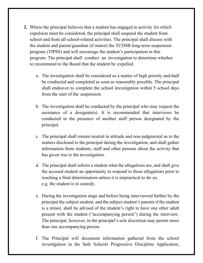- **2.** Where the principal believes that a student has engaged in activity for which expulsion must be considered, the principal shall suspend the student from school and from all school-related activities. The principal shall discuss with the student and parent/guardian (if minor) the TCDSB long-term suspension program (TIPSS) and will encourage the student's participation in this program. The principal shall conduct an investigation to determine whether to recommend to the Board that the student be expelled.
	- a. The investigation shall be considered as a matter of high priority andshall be conducted and completed as soon as reasonably possible. The principal shall endeavor to complete the school investigation within 5 school days from the start of the suspension.
	- b. The investigation shall be conducted by the principal who may request the assistance of a designate(s). It is recommended that interviews be conducted in the presence of another staff person designated by the principal.
	- c. The principal shall remain neutral in attitude and non-judgmental as to the matters disclosed to the principal during the investigation, and shall gather information from students, staff and other persons about the activity that has given rise to the investigation.
	- d. The principal shall inform a student what the allegations are, and shall give the accused student an opportunity to respond to those allegations prior to reaching a final determination unless it is impractical to do so, e.g. the student is in custody.
	- e. During the investigation stage and before being interviewed further by the principal the subject student, and the subject student's parents if the student is a minor, shall be advised of the student's right to have one other adult present with the student ("accompanying person") during the interview. The principal, however, in the principal's sole discretion may permit more than one accompanying person.
	- f. The Principal will document information gathered from the school investigation in the Safe Schools Progressive Discipline Application,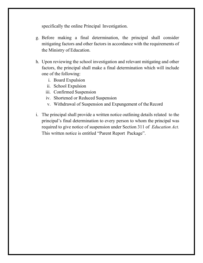specifically the online Principal Investigation.

- g. Before making a final determination, the principal shall consider mitigating factors and other factors in accordance with the requirements of the Ministry of Education.
- h. Upon reviewing the school investigation and relevant mitigating and other factors, the principal shall make a final determination which will include one of the following:
	- i. Board Expulsion
	- ii. School Expulsion
	- iii. Confirmed Suspension
	- iv. Shortened or Reduced Suspension
	- v. Withdrawal of Suspension and Expungement of the Record
- i. The principal shall provide a written notice outlining details related to the principal's final determination to every person to whom the principal was required to give notice of suspension under Section 311 of *Education Act.*  This written notice is entitled "Parent Report Package".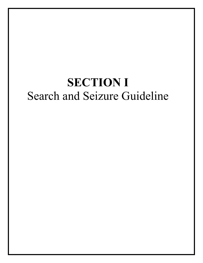## **SECTION I** Search and Seizure Guideline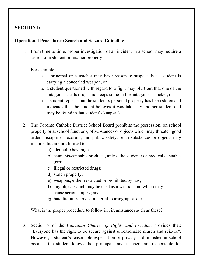## **SECTION I:**

#### **Operational Procedures: Search and Seizure Guideline**

1. From time to time, proper investigation of an incident in a school may require a search of a student or his/ her property.

For example,

- a. a principal or a teacher may have reason to suspect that a student is carrying a concealed weapon, or
- b. a student questioned with regard to a fight may blurt out that one of the antagonists sells drugs and keeps some in the antagonist's locker, or
- c. a student reports that the student's personal property has been stolen and indicates that the student believes it was taken by another student and may be found inthat student's knapsack.
- 2. The Toronto Catholic District School Board prohibits the possession, on school property or at school functions, of substances or objects which may threaten good order, discipline, decorum, and public safety. Such substances or objects may include, but are not limited to:
	- a) alcoholic beverages;
	- b) cannabis/cannabis products, unless the student is a medical cannabis user;
	- c) illegal or restricted drugs;
	- d) stolen property;
	- e) weapons, either restricted or prohibited by law;
	- f) any object which may be used as a weapon and which may cause serious injury; and
	- g) hate literature, racist material, pornography, etc.

What is the proper procedure to follow in circumstances such as these?

3. Section 8 of the *Canadian Charter of Rights and Freedom* provides that: "Everyone has the right to be secure against unreasonable search and seizure". However, a student's reasonable expectation of privacy is diminished at school because the student knows that principals and teachers are responsible for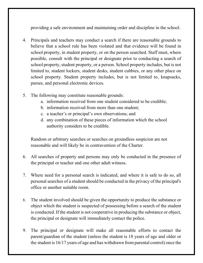providing a safe environment and maintaining order and discipline in the school.

- 4. Principals and teachers may conduct a search if there are reasonable grounds to believe that a school rule has been violated and that evidence will be found in school property, in student property, or on the person searched. Staff must, where possible, consult with the principal or designate prior to conducting a search of school property, student property, or a person. School property includes, but is not limited to, student lockers, student desks, student cubbies, or any other place on school property. Student property includes, but is not limited to, knapsacks, purses, and personal electronic devices.
- 5. The following may constitute reasonable grounds:
	- a. information received from one student considered to be credible;
	- b. information received from more than one student;
	- c. a teacher's or principal's own observations; and
	- d. any combination of these pieces of information which the school authority considers to be credible.

Random or arbitrary searches or searches on groundless suspicion are not reasonable and will likely be in contravention of the Charter.

- 6. All searches of property and persons may only be conducted in the presence of the principal or teacher and one other adult witness.
- 7. Where need for a personal search is indicated, and where it is safe to do so, all personal searches of a student should be conducted in the privacy of the principal's office or another suitable room.
- 8. The student involved should be given the opportunity to produce the substance or object which the student is suspected of possessing before a search of the student is conducted. If the student is not cooperative in producing the substance or object, the principal or designate will immediately contact the police.
- 9. The principal or designate will make all reasonable efforts to contact the parent/guardian of the student (unless the student is 18 years of age and older or the student is 16/17 years of age and has withdrawn fromparental control) once the